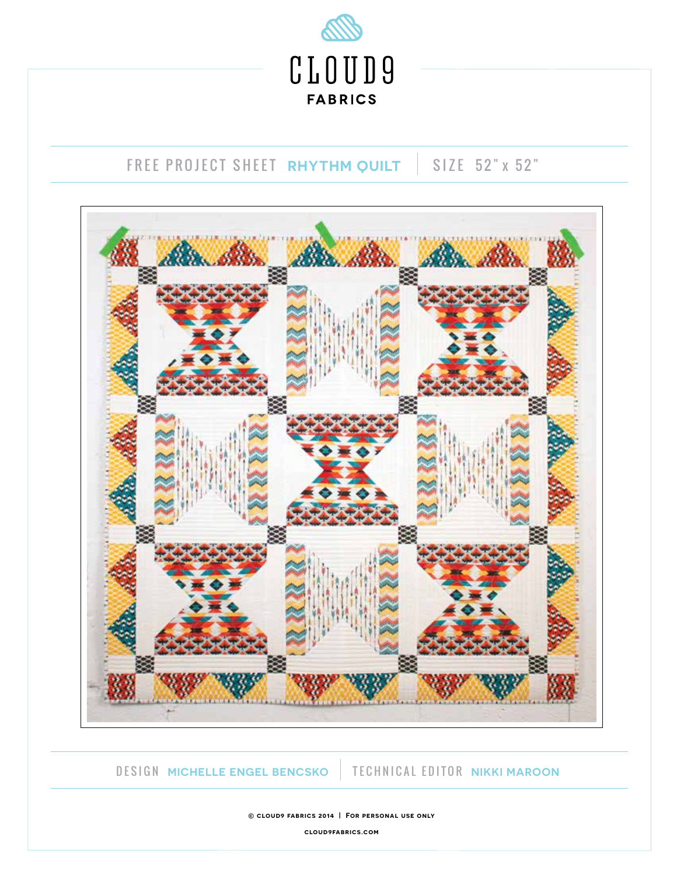

# FREE PROJECT SHEET **RHYTHM QUILT** SIZE 52" x 52"



## DESIGN **MICHELLE ENGEL BENCSKO** TECHNICAL EDITOR **NIKKI MAROON**

**© cloud9 fabrics 2014 | For personal use only**

**cloud9fabrics.com**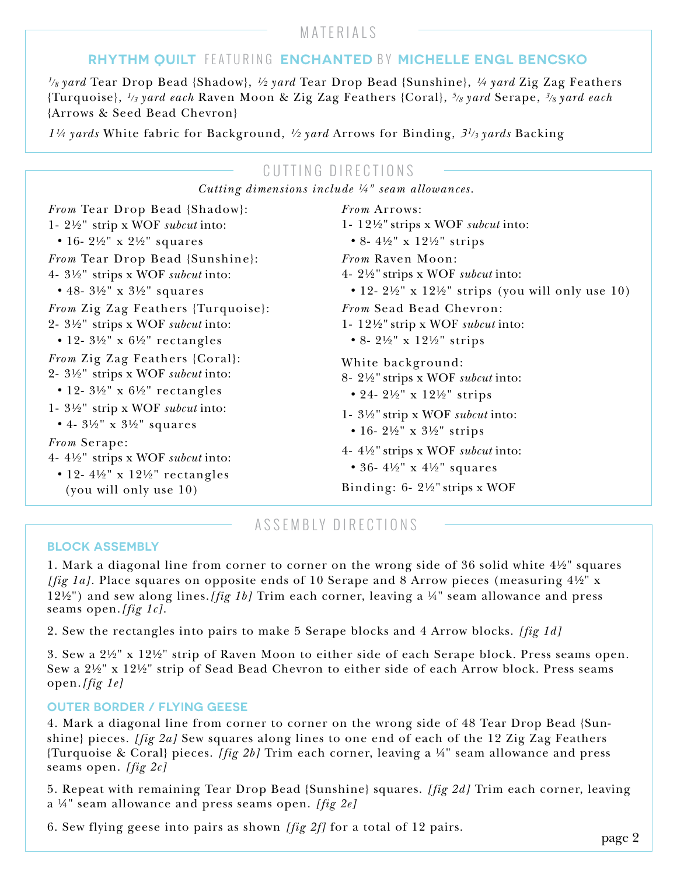## MATERIALS

# **RHYTHM QUILT** FEATURING **ENCHANTED** BY **MICHELLE ENGL BENCSKO**

*1/8 yard* Tear Drop Bead {Shadow}, *½ yard* Tear Drop Bead {Sunshine}, *¼ yard* Zig Zag Feathers {Turquoise}, *1/3 yard each* Raven Moon & Zig Zag Feathers {Coral}, *5/8 yard* Serape, *3/8 yard each*  {Arrows & Seed Bead Chevron}

*1¼ yards* White fabric for Background, *½ yard* Arrows for Binding, *31/3 yards* Backing

# CUTTING DIRECTIONS

*Cutting dimensions include ¼" seam allowances.*

*From* Tear Drop Bead {Shadow}: 1- 2½" strip x WOF *subcut* into:  *•* 16- 2½" x 2½" squares *From* Tear Drop Bead {Sunshine}: 4- 3½" strips x WOF *subcut* into:  *•* 48- 3½" x 3½" squares *From* Zig Zag Feathers {Turquoise}: 2- 3½" strips x WOF *subcut* into:  *•* 12- 3½" x 6½" rectangles *From* Zig Zag Feathers {Coral}: 2- 3½" strips x WOF *subcut* into:  *•* 12- 3½" x 6½" rectangles 1- 3½" strip x WOF *subcut* into:  *•* 4- 3½" x 3½" squares *From* Serape:

- 4- 4½" strips x WOF *subcut* into:
	- *•* 12- 4½" x 12½" rectangles (you will only use 10)

*From* Arrows: 1- 12½" strips x WOF *subcut* into:  *•* 8- 4½" x 12½" strips *From* Raven Moon: 4- 2½" strips x WOF *subcut* into:  *•* 12- 2½" x 12½" strips (you will only use 10) *From* Sead Bead Chevron: 1- 12½" strip x WOF *subcut* into:  *•* 8- 2½" x 12½" strips White background: 8- 2½" strips x WOF *subcut* into:  *•* 24- 2½" x 12½" strips 1- 3½" strip x WOF *subcut* into:  *•* 16- 2½" x 3½" strips

- 4- 4½" strips x WOF *subcut* into:
	- *•* 36- 4½" x 4½" squares

Binding: 6- 2½" strips x WOF

# ASSEMBLY DIRECTIONS

#### **BLOCK ASSEMBLY**

1. Mark a diagonal line from corner to corner on the wrong side of 36 solid white 4½" squares *[fig 1a].* Place squares on opposite ends of 10 Serape and 8 Arrow pieces (measuring 4½" x 12½") and sew along lines.*[fig 1b]* Trim each corner, leaving a ¼" seam allowance and press seams open.*[fig 1c]*.

2. Sew the rectangles into pairs to make 5 Serape blocks and 4 Arrow blocks. *[fig 1d]*

3. Sew a 2½" x 12½" strip of Raven Moon to either side of each Serape block. Press seams open. Sew a 2½" x 12½" strip of Sead Bead Chevron to either side of each Arrow block. Press seams open.*[fig 1e]*

### **OUTER BORDER / FLYING GEESE**

4. Mark a diagonal line from corner to corner on the wrong side of 48 Tear Drop Bead {Sunshine} pieces. *[fig 2a]* Sew squares along lines to one end of each of the 12 Zig Zag Feathers {Turquoise & Coral} pieces. *[fig 2b]* Trim each corner, leaving a ¼" seam allowance and press seams open. *[fig 2c]* 

5. Repeat with remaining Tear Drop Bead {Sunshine} squares. *[fig 2d]* Trim each corner, leaving a ¼" seam allowance and press seams open. *[fig 2e]* 

6. Sew flying geese into pairs as shown *[fig 2f]* for a total of 12 pairs.